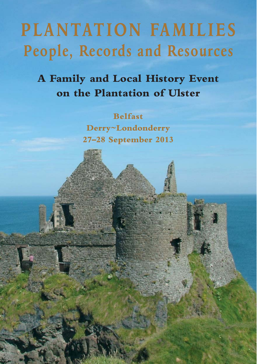# **PLANTATION FAMILIES People, Records and Resources**

**A Family and Local History Event on the Plantation of Ulster**

> **Belfast Derry~Londonderry 27–28 September 2013**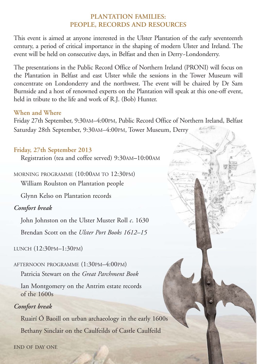## **PLANTATION FAMILIES: PEOPLE, RECORDS AND RESOURCES**

This event is aimed at anyone interested in the Ulster Plantation of the early seventeenth century, a period of critical importance in the shaping of modern Ulster and Ireland. The event will be held on consecutive days, in Belfast and then in Derry~Londonderry.

The presentations in the Public Record Office of Northern Ireland (PRONI) will focus on the Plantation in Belfast and east Ulster while the sessions in the Tower Museum will concentrate on Londonderry and the northwest. The event will be chaired by Dr Sam Burnside and a host of renowned experts on the Plantation will speak at this one-off event, held in tribute to the life and work of R.J. (Bob) Hunter.

## **When and Where**

Friday 27th September, 9:30AM–4:00PM, Public Record Office of Northern Ireland, Belfast Saturday 28th September, 9:30AM–4:00PM, Tower Museum, Derry

## **Friday, 27th September 2013**

Registration (tea and coffee served) 9:30AM**–**10:00AM

MORNING PROGRAMME (10:00AM TO 12:30PM)

William Roulston on Plantation people

Glynn Kelso on Plantation records

# *Comfort break*

John Johnston on the Ulster Muster Roll *c*. 1630

Brendan Scott on the *Ulster Port Books 1612–15*

LUNCH (12:30PM–1:30PM)

# AFTERNOON PROGRAMME (1:30PM–4:00PM)

Patricia Stewart on the *Great Parchment Book*

Ian Montgomery on the Antrim estate records of the 1600s

# *Comfort break*

Ruairí Ó Baoill on urban archaeology in the early 1600s Bethany Sinclair on the Caulfeilds of Castle Caulfeild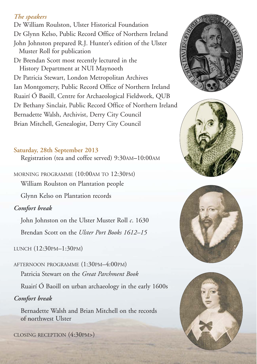## *The speakers*

Dr William Roulston, Ulster Historical Foundation Dr Glynn Kelso, Public Record Office of Northern Ireland

John Johnston prepared R.J. Hunter's edition of the Ulster Muster Roll for publication

Dr Brendan Scott most recently lectured in the History Department at NUI Maynooth Dr Patricia Stewart, London Metropolitan Archives Ian Montgomery, Public Record Office of Northern Ireland Ruairí Ó Baoill, Centre for Archaeological Fieldwork, QUB Dr Bethany Sinclair, Public Record Office of Northern Ireland Bernadette Walsh, Archivist, Derry City Council Brian Mitchell, Genealogist, Derry City Council

#### **Saturday, 28th September 2013**

Registration (tea and coffee served) 9:30AM**–**10:00AM

MORNING PROGRAMME (10:00AM TO 12:30PM) William Roulston on Plantation people

Glynn Kelso on Plantation records

*Comfort break*

John Johnston on the Ulster Muster Roll *c*. 1630

Brendan Scott on the *Ulster Port Books 1612–15*

LUNCH (12:30PM–1:30PM)

AFTERNOON PROGRAMME (1:30PM–4:00PM) Patricia Stewart on the *Great Parchment Book*

Ruairí Ó Baoill on urban archaeology in the early 1600s

## *Comfort break*

Bernadette Walsh and Brian Mitchell on the records of northwest Ulster

CLOSING RECEPTION (4:30PM>)